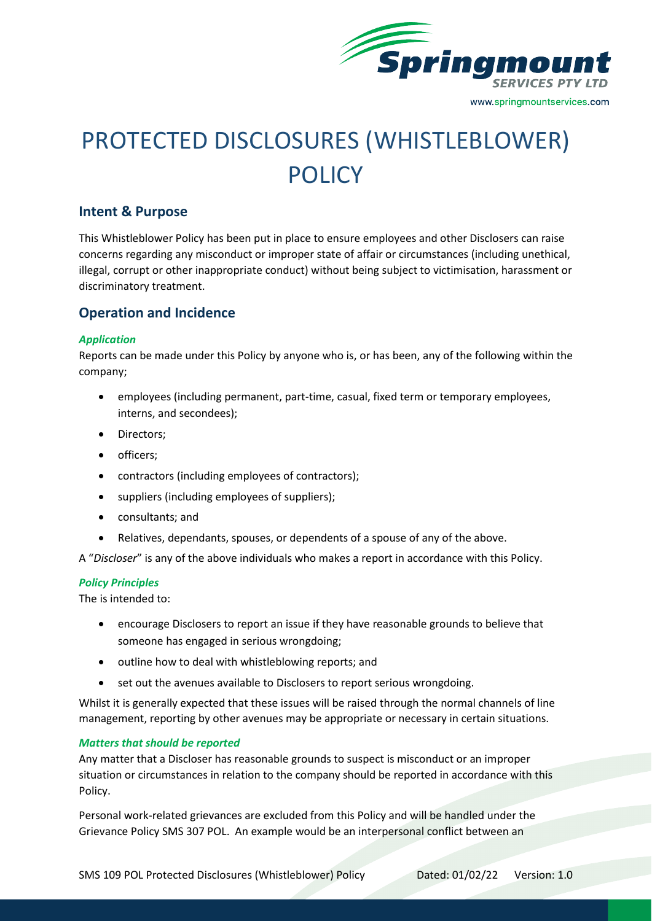

# PROTECTED DISCLOSURES (WHISTLEBLOWER) **POLICY**

# **Intent & Purpose**

This Whistleblower Policy has been put in place to ensure employees and other Disclosers can raise concerns regarding any misconduct or improper state of affair or circumstances (including unethical, illegal, corrupt or other inappropriate conduct) without being subject to victimisation, harassment or discriminatory treatment.

# **Operation and Incidence**

## *Application*

Reports can be made under this Policy by anyone who is, or has been, any of the following within the company;

- employees (including permanent, part-time, casual, fixed term or temporary employees, interns, and secondees);
- Directors;
- officers;
- contractors (including employees of contractors);
- suppliers (including employees of suppliers);
- consultants; and
- Relatives, dependants, spouses, or dependents of a spouse of any of the above.

A "*Discloser*" is any of the above individuals who makes a report in accordance with this Policy.

## *Policy Principles*

The is intended to:

- encourage Disclosers to report an issue if they have reasonable grounds to believe that someone has engaged in serious wrongdoing;
- outline how to deal with whistleblowing reports; and
- set out the avenues available to Disclosers to report serious wrongdoing.

Whilst it is generally expected that these issues will be raised through the normal channels of line management, reporting by other avenues may be appropriate or necessary in certain situations.

## *Matters that should be reported*

Any matter that a Discloser has reasonable grounds to suspect is misconduct or an improper situation or circumstances in relation to the company should be reported in accordance with this Policy.

Personal work-related grievances are excluded from this Policy and will be handled under the Grievance Policy SMS 307 POL. An example would be an interpersonal conflict between an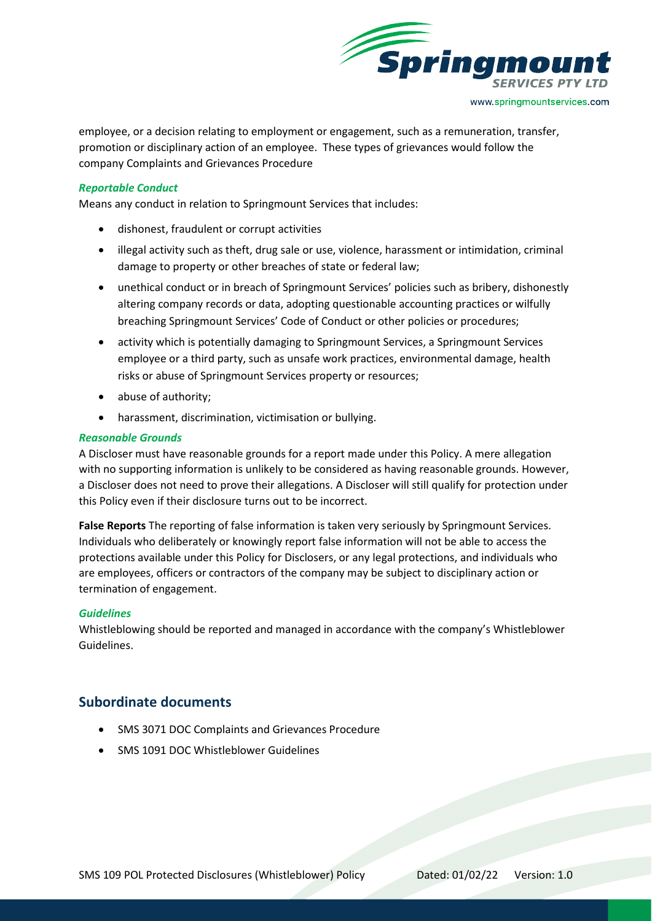

employee, or a decision relating to employment or engagement, such as a remuneration, transfer, promotion or disciplinary action of an employee. These types of grievances would follow the company Complaints and Grievances Procedure

## *Reportable Conduct*

Means any conduct in relation to Springmount Services that includes:

- dishonest, fraudulent or corrupt activities
- illegal activity such as theft, drug sale or use, violence, harassment or intimidation, criminal damage to property or other breaches of state or federal law;
- unethical conduct or in breach of Springmount Services' policies such as bribery, dishonestly altering company records or data, adopting questionable accounting practices or wilfully breaching Springmount Services' Code of Conduct or other policies or procedures;
- activity which is potentially damaging to Springmount Services, a Springmount Services employee or a third party, such as unsafe work practices, environmental damage, health risks or abuse of Springmount Services property or resources;
- abuse of authority;
- harassment, discrimination, victimisation or bullying.

## *Reasonable Grounds*

A Discloser must have reasonable grounds for a report made under this Policy. A mere allegation with no supporting information is unlikely to be considered as having reasonable grounds. However, a Discloser does not need to prove their allegations. A Discloser will still qualify for protection under this Policy even if their disclosure turns out to be incorrect.

**False Reports** The reporting of false information is taken very seriously by Springmount Services. Individuals who deliberately or knowingly report false information will not be able to access the protections available under this Policy for Disclosers, or any legal protections, and individuals who are employees, officers or contractors of the company may be subject to disciplinary action or termination of engagement.

## *Guidelines*

Whistleblowing should be reported and managed in accordance with the company's Whistleblower Guidelines.

# **Subordinate documents**

- SMS 3071 DOC Complaints and Grievances Procedure
- SMS 1091 DOC Whistleblower Guidelines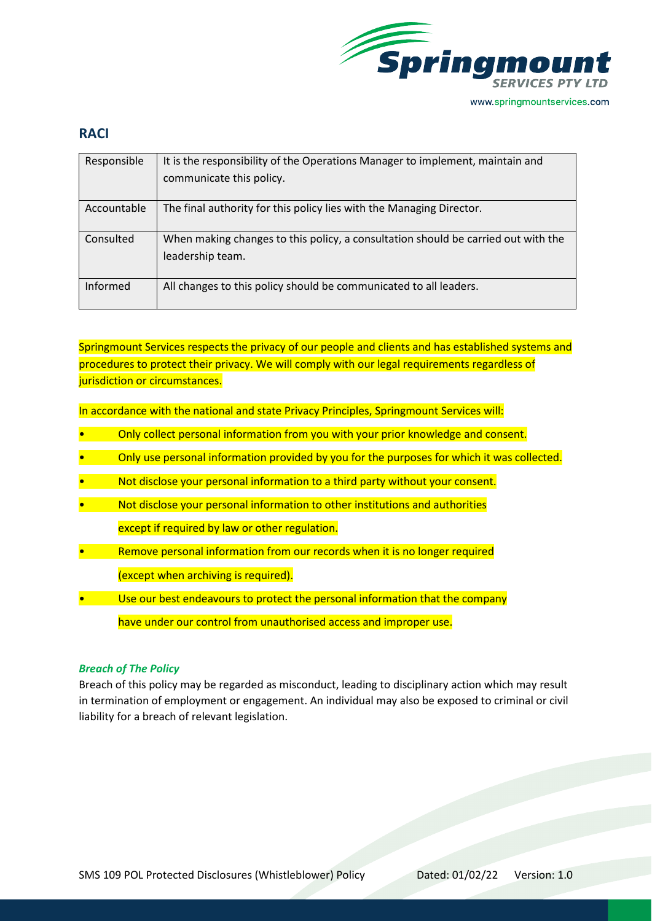

# **RACI**

| Responsible | It is the responsibility of the Operations Manager to implement, maintain and     |
|-------------|-----------------------------------------------------------------------------------|
|             | communicate this policy.                                                          |
|             |                                                                                   |
| Accountable | The final authority for this policy lies with the Managing Director.              |
|             |                                                                                   |
| Consulted   | When making changes to this policy, a consultation should be carried out with the |
|             | leadership team.                                                                  |
|             |                                                                                   |
| Informed    | All changes to this policy should be communicated to all leaders.                 |
|             |                                                                                   |

Springmount Services respects the privacy of our people and clients and has established systems and procedures to protect their privacy. We will comply with our legal requirements regardless of jurisdiction or circumstances.

In accordance with the national and state Privacy Principles, Springmount Services will:

- Only collect personal information from you with your prior knowledge and consent.
- Only use personal information provided by you for the purposes for which it was collected.
- Not disclose your personal information to a third party without your consent.
- Not disclose your personal information to other institutions and authorities except if required by law or other regulation.
- Remove personal information from our records when it is no longer required (except when archiving is required).
- Use our best endeavours to protect the personal information that the company have under our control from unauthorised access and improper use.

## *Breach of The Policy*

Breach of this policy may be regarded as misconduct, leading to disciplinary action which may result in termination of employment or engagement. An individual may also be exposed to criminal or civil liability for a breach of relevant legislation.